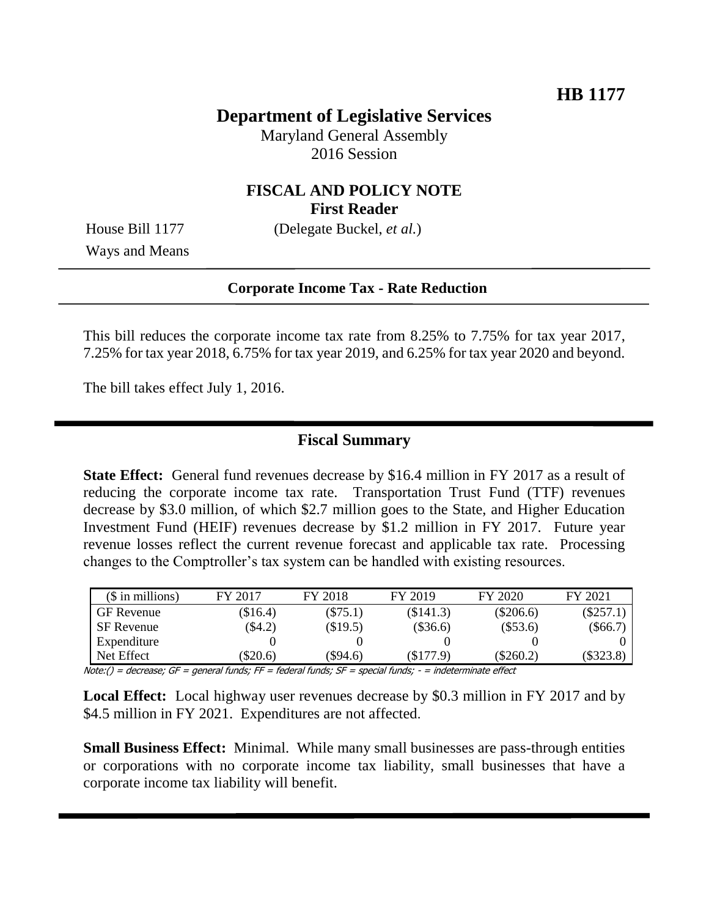# **Department of Legislative Services**

Maryland General Assembly 2016 Session

### **FISCAL AND POLICY NOTE First Reader**

Ways and Means

House Bill 1177 (Delegate Buckel, *et al.*)

#### **Corporate Income Tax - Rate Reduction**

This bill reduces the corporate income tax rate from 8.25% to 7.75% for tax year 2017, 7.25% for tax year 2018, 6.75% for tax year 2019, and 6.25% for tax year 2020 and beyond.

The bill takes effect July 1, 2016.

#### **Fiscal Summary**

**State Effect:** General fund revenues decrease by \$16.4 million in FY 2017 as a result of reducing the corporate income tax rate. Transportation Trust Fund (TTF) revenues decrease by \$3.0 million, of which \$2.7 million goes to the State, and Higher Education Investment Fund (HEIF) revenues decrease by \$1.2 million in FY 2017. Future year revenue losses reflect the current revenue forecast and applicable tax rate. Processing changes to the Comptroller's tax system can be handled with existing resources.

| $($$ in millions) | FY 2017    | FY 2018    | FY 2019    | FY 2020     | FY 2021     |
|-------------------|------------|------------|------------|-------------|-------------|
| <b>GF</b> Revenue | $(\$16.4)$ | $(\$75.1)$ | (\$141.3)  | $(\$206.6)$ | $(\$257.1$  |
| SF Revenue        | $\$4.2)$   | $(\$19.5)$ | $(\$36.6)$ | $(\$53.6)$  | $(\$66.7)$  |
| Expenditure       |            |            |            |             |             |
| Net Effect        | \$20.6     | (\$94.6)   | (\$177.9)  | $(\$260.2)$ | $(\$323.8"$ |

 $Note: ( ) = decrease; GF = general funds; FF = federal funds; SF = special funds; -F = special funds; -F = 0$ 

**Local Effect:** Local highway user revenues decrease by \$0.3 million in FY 2017 and by \$4.5 million in FY 2021. Expenditures are not affected.

**Small Business Effect:** Minimal. While many small businesses are pass-through entities or corporations with no corporate income tax liability, small businesses that have a corporate income tax liability will benefit.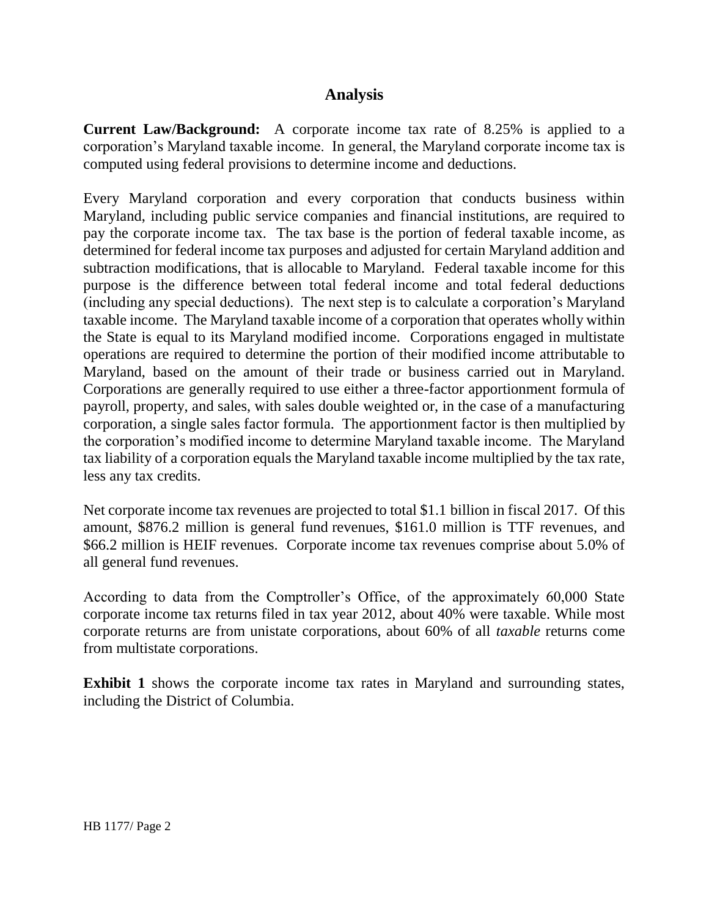## **Analysis**

**Current Law/Background:** A corporate income tax rate of 8.25% is applied to a corporation's Maryland taxable income. In general, the Maryland corporate income tax is computed using federal provisions to determine income and deductions.

Every Maryland corporation and every corporation that conducts business within Maryland, including public service companies and financial institutions, are required to pay the corporate income tax. The tax base is the portion of federal taxable income, as determined for federal income tax purposes and adjusted for certain Maryland addition and subtraction modifications, that is allocable to Maryland. Federal taxable income for this purpose is the difference between total federal income and total federal deductions (including any special deductions). The next step is to calculate a corporation's Maryland taxable income. The Maryland taxable income of a corporation that operates wholly within the State is equal to its Maryland modified income. Corporations engaged in multistate operations are required to determine the portion of their modified income attributable to Maryland, based on the amount of their trade or business carried out in Maryland. Corporations are generally required to use either a three-factor apportionment formula of payroll, property, and sales, with sales double weighted or, in the case of a manufacturing corporation, a single sales factor formula. The apportionment factor is then multiplied by the corporation's modified income to determine Maryland taxable income. The Maryland tax liability of a corporation equals the Maryland taxable income multiplied by the tax rate, less any tax credits.

Net corporate income tax revenues are projected to total \$1.1 billion in fiscal 2017. Of this amount, \$876.2 million is general fund revenues, \$161.0 million is TTF revenues, and \$66.2 million is HEIF revenues. Corporate income tax revenues comprise about 5.0% of all general fund revenues.

According to data from the Comptroller's Office, of the approximately 60,000 State corporate income tax returns filed in tax year 2012, about 40% were taxable. While most corporate returns are from unistate corporations, about 60% of all *taxable* returns come from multistate corporations.

**Exhibit 1** shows the corporate income tax rates in Maryland and surrounding states, including the District of Columbia.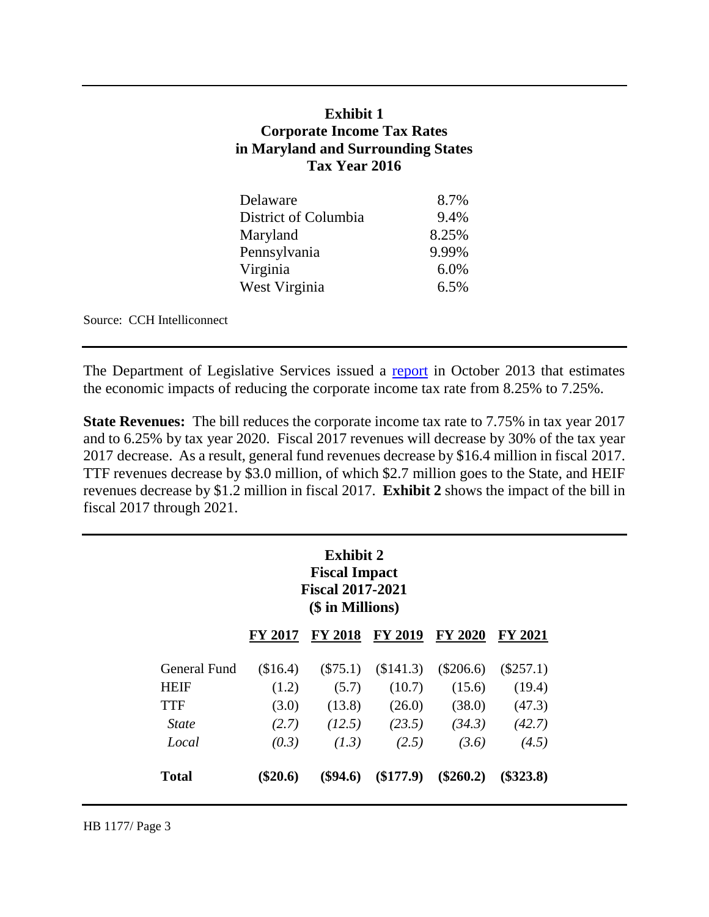## **Exhibit 1 Corporate Income Tax Rates in Maryland and Surrounding States Tax Year 2016**

| Delaware             | 8.7%  |
|----------------------|-------|
| District of Columbia | 9.4%  |
| Maryland             | 8.25% |
| Pennsylvania         | 9.99% |
| Virginia             | 6.0%  |
| West Virginia        | 6.5%  |

Source: CCH Intelliconnect

The Department of Legislative Services issued a [report](http://mgaleg.maryland.gov/Pubs/BudgetFiscal/2013-Corporate-Income-Tax-Analysis-Report.pdf) in October 2013 that estimates the economic impacts of reducing the corporate income tax rate from 8.25% to 7.25%.

**State Revenues:** The bill reduces the corporate income tax rate to 7.75% in tax year 2017 and to 6.25% by tax year 2020. Fiscal 2017 revenues will decrease by 30% of the tax year 2017 decrease. As a result, general fund revenues decrease by \$16.4 million in fiscal 2017. TTF revenues decrease by \$3.0 million, of which \$2.7 million goes to the State, and HEIF revenues decrease by \$1.2 million in fiscal 2017. **Exhibit 2** shows the impact of the bill in fiscal 2017 through 2021.

|                     |                | <b>Exhibit 2</b><br><b>Fiscal Impact</b><br><b>Fiscal 2017-2021</b><br>(\$ in Millions) |                |                |                |
|---------------------|----------------|-----------------------------------------------------------------------------------------|----------------|----------------|----------------|
|                     | <b>FY 2017</b> | <b>FY 2018</b>                                                                          | <b>FY 2019</b> | <b>FY 2020</b> | <b>FY 2021</b> |
| <b>General Fund</b> | (\$16.4)       | $(\$75.1)$                                                                              | (\$141.3)      | $(\$206.6)$    | $(\$257.1)$    |
| <b>HEIF</b>         | (1.2)          | (5.7)                                                                                   | (10.7)         | (15.6)         | (19.4)         |
| <b>TTF</b>          | (3.0)          | (13.8)                                                                                  | (26.0)         | (38.0)         | (47.3)         |
| <i>State</i>        | (2.7)          | (12.5)                                                                                  | (23.5)         | (34.3)         | (42.7)         |
| Local               | (0.3)          | (1.3)                                                                                   | (2.5)          | (3.6)          | (4.5)          |
| <b>Total</b>        | $(\$20.6)$     | $(\$94.6)$                                                                              | (\$177.9)      | $(\$260.2)$    | $(\$323.8)$    |